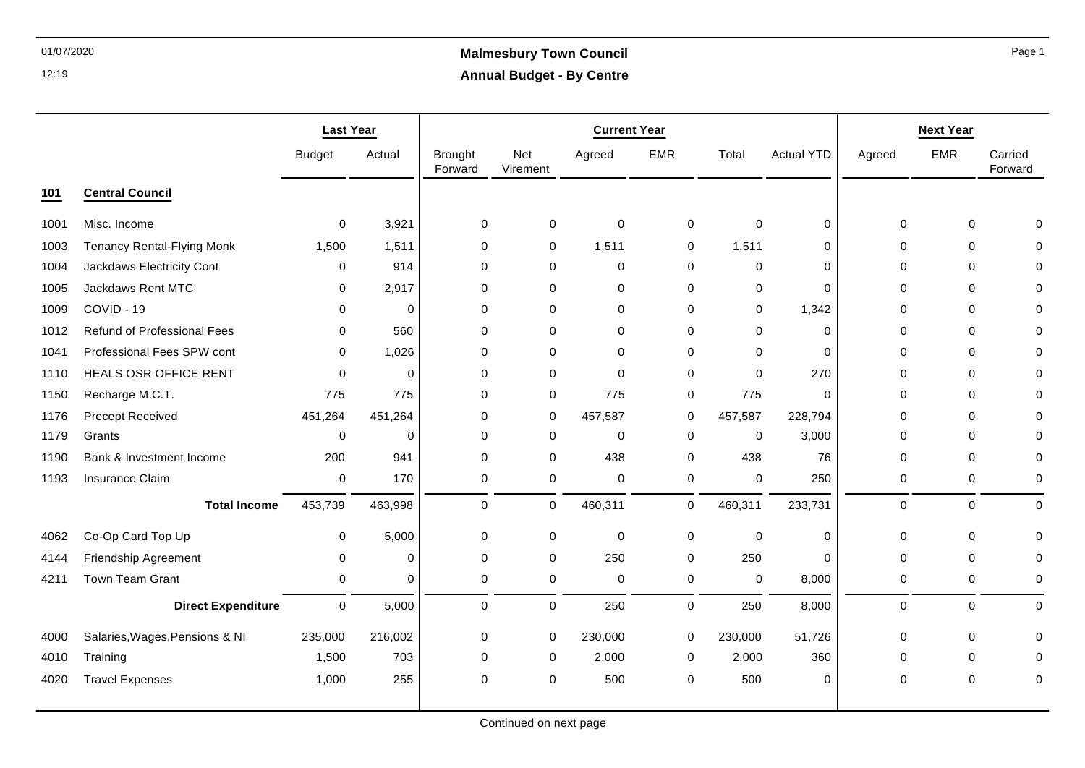# 01/07/2020 **Malmesbury Town Council Annual Budget - By Centre**

|      |                                   | <b>Last Year</b>    |             |                           |                        | <b>Current Year</b> |             |             |                   |              | <b>Next Year</b> |                    |
|------|-----------------------------------|---------------------|-------------|---------------------------|------------------------|---------------------|-------------|-------------|-------------------|--------------|------------------|--------------------|
|      |                                   | <b>Budget</b>       | Actual      | <b>Brought</b><br>Forward | <b>Net</b><br>Virement | Agreed              | <b>EMR</b>  | Total       | <b>Actual YTD</b> | Agreed       | <b>EMR</b>       | Carried<br>Forward |
| 101  | <b>Central Council</b>            |                     |             |                           |                        |                     |             |             |                   |              |                  |                    |
| 1001 | Misc. Income                      | 0                   | 3,921       | $\Omega$                  | 0                      | $\mathbf 0$         | 0           | 0           | 0                 | $\Omega$     | $\mathbf 0$      | $\Omega$           |
| 1003 | <b>Tenancy Rental-Flying Monk</b> | 1,500               | 1,511       | 0                         | $\mathbf 0$            | 1,511               | 0           | 1,511       | $\mathbf 0$       | $\Omega$     | 0                | 0                  |
| 1004 | Jackdaws Electricity Cont         | $\mathbf 0$         | 914         | $\Omega$                  | 0                      | $\mathbf 0$         | 0           | $\mathbf 0$ | $\mathbf 0$       | $\mathbf{0}$ | 0                | 0                  |
| 1005 | Jackdaws Rent MTC                 | 0                   | 2,917       | $\Omega$                  | $\Omega$               | $\mathbf 0$         | 0           | 0           | $\Omega$          | $\Omega$     | $\Omega$         | $\Omega$           |
| 1009 | COVID - 19                        | $\Omega$            | $\mathbf 0$ | $\Omega$                  | $\Omega$               | $\mathbf 0$         | $\mathbf 0$ | $\mathbf 0$ | 1,342             | $\Omega$     | $\Omega$         | $\Omega$           |
| 1012 | Refund of Professional Fees       | $\mathbf 0$         | 560         | $\Omega$                  | $\Omega$               | $\mathbf 0$         | 0           | $\mathbf 0$ | $\Omega$          | $\mathbf{0}$ | 0                | $\mathbf{0}$       |
| 1041 | Professional Fees SPW cont        | 0                   | 1,026       | 0                         | 0                      | $\mathbf 0$         | 0           | 0           | $\mathbf 0$       | $\Omega$     | $\mathbf 0$      | 0                  |
| 1110 | <b>HEALS OSR OFFICE RENT</b>      | $\Omega$            | 0           | $\Omega$                  | $\Omega$               | $\mathbf{0}$        | 0           | $\Omega$    | 270               | $\Omega$     | 0                | $\Omega$           |
| 1150 | Recharge M.C.T.                   | 775                 | 775         | $\Omega$                  | $\mathbf 0$            | 775                 | 0           | 775         | $\Omega$          | $\Omega$     | $\Omega$         | $\Omega$           |
| 1176 | Precept Received                  | 451,264             | 451,264     | 0                         | 0                      | 457,587             | 0           | 457,587     | 228,794           | $\Omega$     | $\mathbf 0$      | $\Omega$           |
| 1179 | Grants                            | 0                   | $\Omega$    | $\Omega$                  | $\Omega$               | $\Omega$            | 0           | 0           | 3,000             | 0            | 0                | $\Omega$           |
| 1190 | Bank & Investment Income          | 200                 | 941         | $\Omega$                  | $\Omega$               | 438                 | $\mathbf 0$ | 438         | 76                | $\mathbf{0}$ | $\Omega$         | 0                  |
| 1193 | Insurance Claim                   | $\mathbf 0$         | 170         | $\pmb{0}$                 | $\mathbf 0$            | $\mathbf 0$         | 0           | $\pmb{0}$   | 250               | $\mathbf 0$  | 0                | 0                  |
|      | <b>Total Income</b>               | 453,739             | 463,998     | $\mathbf 0$               | $\mathbf 0$            | 460,311             | 0           | 460,311     | 233,731           | $\mathbf 0$  | $\Omega$         | $\mathbf 0$        |
| 4062 | Co-Op Card Top Up                 | 0                   | 5,000       | 0                         | $\mathbf 0$            | $\mathbf 0$         | 0           | $\pmb{0}$   | $\mathbf 0$       | 0            | 0                | 0                  |
| 4144 | Friendship Agreement              | 0                   | $\mathbf 0$ | $\Omega$                  | $\Omega$               | 250                 | $\mathbf 0$ | 250         | $\Omega$          | $\Omega$     | $\Omega$         | $\mathbf 0$        |
| 4211 | <b>Town Team Grant</b>            | $\mathbf 0$         | $\mathbf 0$ | $\mathbf 0$               | $\mathbf 0$            | $\mathbf 0$         | 0           | 0           | 8,000             | $\mathbf 0$  | $\mathbf 0$      | $\mathbf 0$        |
|      | <b>Direct Expenditure</b>         | $\mathsf{O}\xspace$ | 5,000       | $\mathbf 0$               | $\mathbf 0$            | 250                 | 0           | 250         | 8,000             | $\mathbf 0$  | $\mathbf 0$      | $\mathbf 0$        |
| 4000 | Salaries, Wages, Pensions & NI    | 235,000             | 216,002     | 0                         | 0                      | 230,000             | 0           | 230,000     | 51,726            | $\mathbf 0$  | $\mathbf 0$      | $\mathbf 0$        |
| 4010 | Training                          | 1,500               | 703         | 0                         | 0                      | 2,000               | 0           | 2,000       | 360               | $\Omega$     | $\Omega$         | $\Omega$           |
| 4020 | <b>Travel Expenses</b>            | 1,000               | 255         | $\Omega$                  | $\mathbf 0$            | 500                 | $\mathbf 0$ | 500         | $\mathbf 0$       | $\mathbf 0$  | 0                | $\mathbf 0$        |

Page 1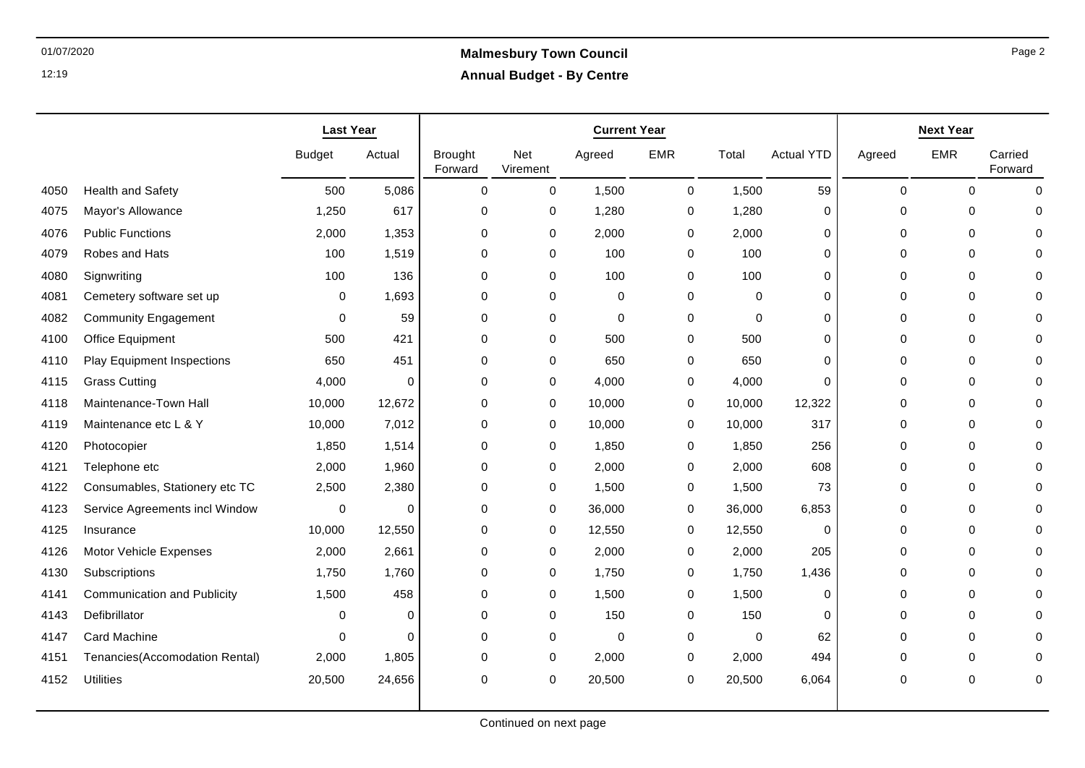|      |                                    | <b>Last Year</b> |          |                           | <b>Current Year</b> | <b>Next Year</b> |            |             |                   |             |             |                    |
|------|------------------------------------|------------------|----------|---------------------------|---------------------|------------------|------------|-------------|-------------------|-------------|-------------|--------------------|
|      |                                    | <b>Budget</b>    | Actual   | <b>Brought</b><br>Forward | Net<br>Virement     | Agreed           | <b>EMR</b> | Total       | <b>Actual YTD</b> | Agreed      | <b>EMR</b>  | Carried<br>Forward |
| 4050 | <b>Health and Safety</b>           | 500              | 5,086    | $\mathbf 0$               | 0                   | 1,500            | 0          | 1,500       | 59                | $\mathbf 0$ | $\mathbf 0$ | $\Omega$           |
| 4075 | Mayor's Allowance                  | 1,250            | 617      | 0                         | 0                   | 1,280            | 0          | 1,280       | 0                 | $\Omega$    | $\mathbf 0$ | $\Omega$           |
| 4076 | <b>Public Functions</b>            | 2,000            | 1,353    | 0                         | 0                   | 2,000            | 0          | 2,000       | 0                 | 0           | $\mathbf 0$ |                    |
| 4079 | Robes and Hats                     | 100              | 1,519    | $\mathbf 0$               | $\mathbf 0$         | 100              | 0          | 100         | 0                 | $\mathbf 0$ | $\mathbf 0$ | ∩                  |
| 4080 | Signwriting                        | 100              | 136      | $\mathbf 0$               | 0                   | 100              | 0          | 100         | 0                 | 0           | $\mathbf 0$ | $\Omega$           |
| 4081 | Cemetery software set up           | 0                | 1,693    | $\pmb{0}$                 | 0                   | 0                | 0          | 0           | 0                 | 0           | 0           |                    |
| 4082 | <b>Community Engagement</b>        | 0                | 59       | $\pmb{0}$                 | 0                   | $\mathbf 0$      | 0          | $\mathbf 0$ | 0                 | $\mathbf 0$ | $\mathbf 0$ |                    |
| 4100 | Office Equipment                   | 500              | 421      | $\mathbf 0$               | 0                   | 500              | 0          | 500         | 0                 | 0           | $\mathbf 0$ | O                  |
| 4110 | <b>Play Equipment Inspections</b>  | 650              | 451      | $\mathbf 0$               | 0                   | 650              | 0          | 650         | 0                 | 0           | 0           |                    |
| 4115 | <b>Grass Cutting</b>               | 4,000            | $\Omega$ | $\pmb{0}$                 | 0                   | 4,000            | 0          | 4,000       | 0                 | $\Omega$    | $\mathbf 0$ |                    |
| 4118 | Maintenance-Town Hall              | 10,000           | 12,672   | $\mathbf 0$               | 0                   | 10,000           | 0          | 10,000      | 12,322            | $\Omega$    | $\mathbf 0$ | $\cap$             |
| 4119 | Maintenance etc L & Y              | 10,000           | 7,012    | $\Omega$                  | 0                   | 10,000           | 0          | 10,000      | 317               | $\Omega$    | $\mathbf 0$ |                    |
| 4120 | Photocopier                        | 1,850            | 1,514    | 0                         | 0                   | 1,850            | 0          | 1,850       | 256               | $\Omega$    | $\mathbf 0$ | n                  |
| 4121 | Telephone etc                      | 2,000            | 1,960    | $\mathbf 0$               | 0                   | 2,000            | 0          | 2,000       | 608               | $\Omega$    | $\mathbf 0$ |                    |
| 4122 | Consumables, Stationery etc TC     | 2,500            | 2,380    | 0                         | 0                   | 1,500            | 0          | 1,500       | 73                | $\Omega$    | $\mathbf 0$ |                    |
| 4123 | Service Agreements incl Window     | 0                | 0        | 0                         | 0                   | 36,000           | 0          | 36,000      | 6,853             | $\Omega$    | 0           | O                  |
| 4125 | Insurance                          | 10,000           | 12,550   | 0                         | 0                   | 12,550           | 0          | 12,550      | 0                 | 0           | $\mathbf 0$ | O                  |
| 4126 | Motor Vehicle Expenses             | 2,000            | 2,661    | 0                         | 0                   | 2,000            | 0          | 2,000       | 205               | 0           | $\mathbf 0$ |                    |
| 4130 | Subscriptions                      | 1,750            | 1,760    | $\pmb{0}$                 | 0                   | 1,750            | 0          | 1,750       | 1,436             | 0           | $\mathbf 0$ | O                  |
| 4141 | <b>Communication and Publicity</b> | 1,500            | 458      | $\pmb{0}$                 | 0                   | 1,500            | 0          | 1,500       | 0                 | $\mathbf 0$ | $\mathbf 0$ |                    |
| 4143 | Defibrillator                      | $\Omega$         | $\Omega$ | $\mathbf 0$               | 0                   | 150              | 0          | 150         | 0                 | $\mathbf 0$ | $\mathbf 0$ |                    |
| 4147 | Card Machine                       | $\Omega$         | $\Omega$ | $\mathbf 0$               | 0                   | $\mathbf 0$      | 0          | $\mathbf 0$ | 62                | 0           | $\mathbf 0$ |                    |
| 4151 | Tenancies(Accomodation Rental)     | 2,000            | 1,805    | $\mathbf 0$               | 0                   | 2,000            | 0          | 2,000       | 494               | 0           | 0           |                    |
| 4152 | <b>Utilities</b>                   | 20,500           | 24,656   | 0                         | 0                   | 20,500           | 0          | 20,500      | 6,064             | $\Omega$    | $\mathbf 0$ | $\Omega$           |
|      |                                    |                  |          |                           |                     |                  |            |             |                   |             |             |                    |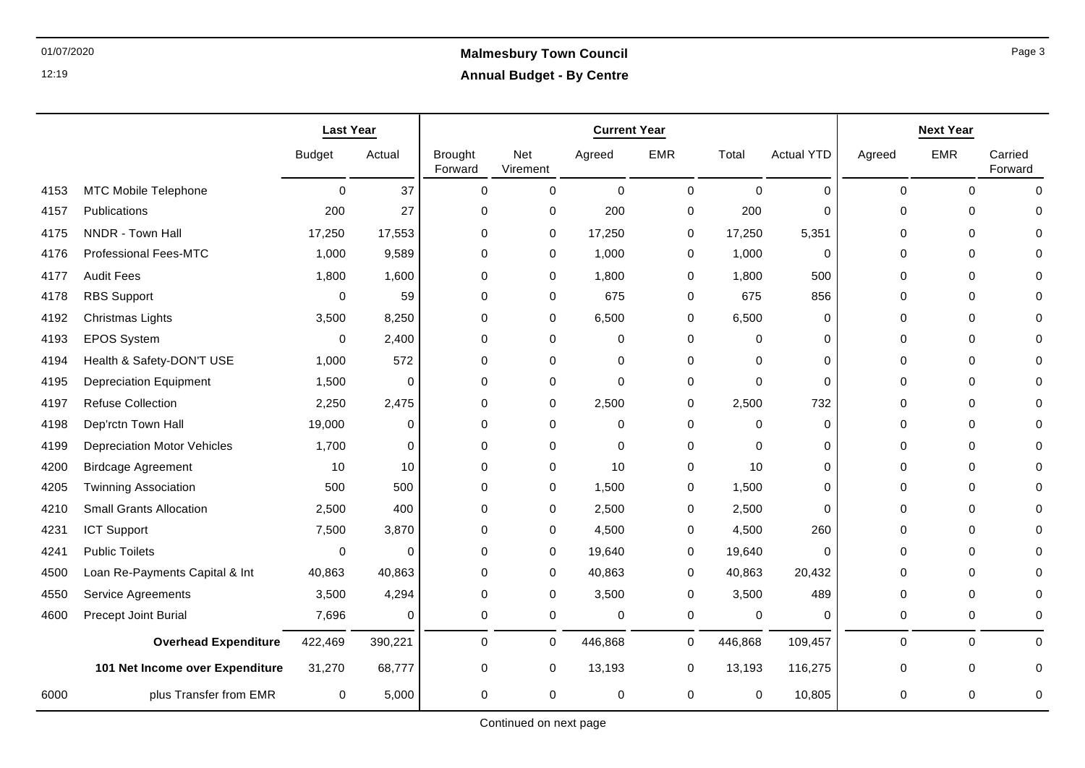|      |                                    | <b>Last Year</b> |             | <b>Current Year</b>       |                        |             |             |             | <b>Next Year</b>  |             |             |                    |
|------|------------------------------------|------------------|-------------|---------------------------|------------------------|-------------|-------------|-------------|-------------------|-------------|-------------|--------------------|
|      |                                    | <b>Budget</b>    | Actual      | <b>Brought</b><br>Forward | <b>Net</b><br>Virement | Agreed      | <b>EMR</b>  | Total       | <b>Actual YTD</b> | Agreed      | <b>EMR</b>  | Carried<br>Forward |
| 4153 | <b>MTC Mobile Telephone</b>        | $\Omega$         | 37          | $\Omega$                  | $\Omega$               | $\Omega$    | $\mathbf 0$ | $\Omega$    | $\Omega$          | $\Omega$    | $\Omega$    | $\Omega$           |
| 4157 | Publications                       | 200              | 27          | 0                         | 0                      | 200         | 0           | 200         | $\mathbf 0$       | $\mathbf 0$ | 0           | $\Omega$           |
| 4175 | NNDR - Town Hall                   | 17,250           | 17,553      | $\mathbf 0$               | 0                      | 17,250      | 0           | 17,250      | 5,351             | $\mathbf 0$ | 0           | $\Omega$           |
| 4176 | <b>Professional Fees-MTC</b>       | 1,000            | 9,589       | 0                         | 0                      | 1,000       | 0           | 1,000       | $\mathbf 0$       | $\Omega$    | 0           | $\Omega$           |
| 4177 | <b>Audit Fees</b>                  | 1,800            | 1,600       | 0                         | 0                      | 1,800       | 0           | 1,800       | 500               | 0           | 0           | 0                  |
| 4178 | <b>RBS Support</b>                 | 0                | 59          | 0                         | 0                      | 675         | 0           | 675         | 856               | $\Omega$    | 0           | $\Omega$           |
| 4192 | Christmas Lights                   | 3,500            | 8,250       | 0                         | 0                      | 6,500       | 0           | 6,500       | 0                 | 0           | 0           | $\Omega$           |
| 4193 | <b>EPOS System</b>                 | 0                | 2,400       | 0                         | 0                      | 0           | 0           | $\mathbf 0$ | 0                 | 0           | 0           | 0                  |
| 4194 | Health & Safety-DON'T USE          | 1,000            | 572         | 0                         | 0                      | 0           | 0           | 0           | $\mathbf 0$       | $\mathbf 0$ | 0           | $\mathbf 0$        |
| 4195 | <b>Depreciation Equipment</b>      | 1,500            | $\mathbf 0$ | $\mathbf 0$               | 0                      | $\mathbf 0$ | 0           | $\mathbf 0$ | $\mathbf 0$       | 0           | $\Omega$    | $\Omega$           |
| 4197 | <b>Refuse Collection</b>           | 2,250            | 2,475       | 0                         | 0                      | 2,500       | 0           | 2,500       | 732               | $\Omega$    | 0           | 0                  |
| 4198 | Dep'rctn Town Hall                 | 19,000           | $\mathbf 0$ | $\Omega$                  | 0                      | $\mathbf 0$ | 0           | $\mathbf 0$ | 0                 | $\Omega$    | 0           | $\Omega$           |
| 4199 | <b>Depreciation Motor Vehicles</b> | 1,700            | $\mathbf 0$ | 0                         | 0                      | $\mathbf 0$ | 0           | $\mathbf 0$ | $\mathbf 0$       | 0           | 0           | 0                  |
| 4200 | <b>Birdcage Agreement</b>          | 10               | 10          | 0                         | 0                      | 10          | 0           | 10          | 0                 | $\Omega$    | 0           | $\Omega$           |
| 4205 | <b>Twinning Association</b>        | 500              | 500         | 0                         | 0                      | 1,500       | 0           | 1,500       | $\Omega$          | $\Omega$    | 0           | $\Omega$           |
| 4210 | <b>Small Grants Allocation</b>     | 2,500            | 400         | 0                         | 0                      | 2,500       | 0           | 2,500       | $\mathbf 0$       | 0           | 0           | $\Omega$           |
| 4231 | <b>ICT Support</b>                 | 7,500            | 3,870       | 0                         | 0                      | 4,500       | 0           | 4,500       | 260               | 0           | 0           | $\Omega$           |
| 4241 | <b>Public Toilets</b>              | 0                | 0           | 0                         | 0                      | 19,640      | 0           | 19,640      | 0                 | 0           | $\Omega$    | $\Omega$           |
| 4500 | Loan Re-Payments Capital & Int     | 40,863           | 40,863      | $\Omega$                  | 0                      | 40,863      | 0           | 40,863      | 20,432            | 0           | $\Omega$    | $\Omega$           |
| 4550 | Service Agreements                 | 3,500            | 4,294       | 0                         | 0                      | 3,500       | $\pmb{0}$   | 3,500       | 489               | $\mathbf 0$ | 0           | $\Omega$           |
| 4600 | Precept Joint Burial               | 7,696            | 0           | 0                         | 0                      | $\mathbf 0$ | $\mathbf 0$ | 0           | $\mathbf 0$       | $\mathbf 0$ | $\mathbf 0$ | $\mathbf 0$        |
|      | <b>Overhead Expenditure</b>        | 422,469          | 390,221     | 0                         | 0                      | 446,868     | 0           | 446,868     | 109,457           | $\mathbf 0$ | 0           | $\mathbf 0$        |
|      | 101 Net Income over Expenditure    | 31,270           | 68,777      | 0                         | 0                      | 13,193      | 0           | 13,193      | 116,275           | 0           | 0           | 0                  |
| 6000 | plus Transfer from EMR             | $\mathbf 0$      | 5,000       | 0                         | 0                      | $\mathbf 0$ | 0           | $\mathbf 0$ | 10,805            | 0           | 0           | 0                  |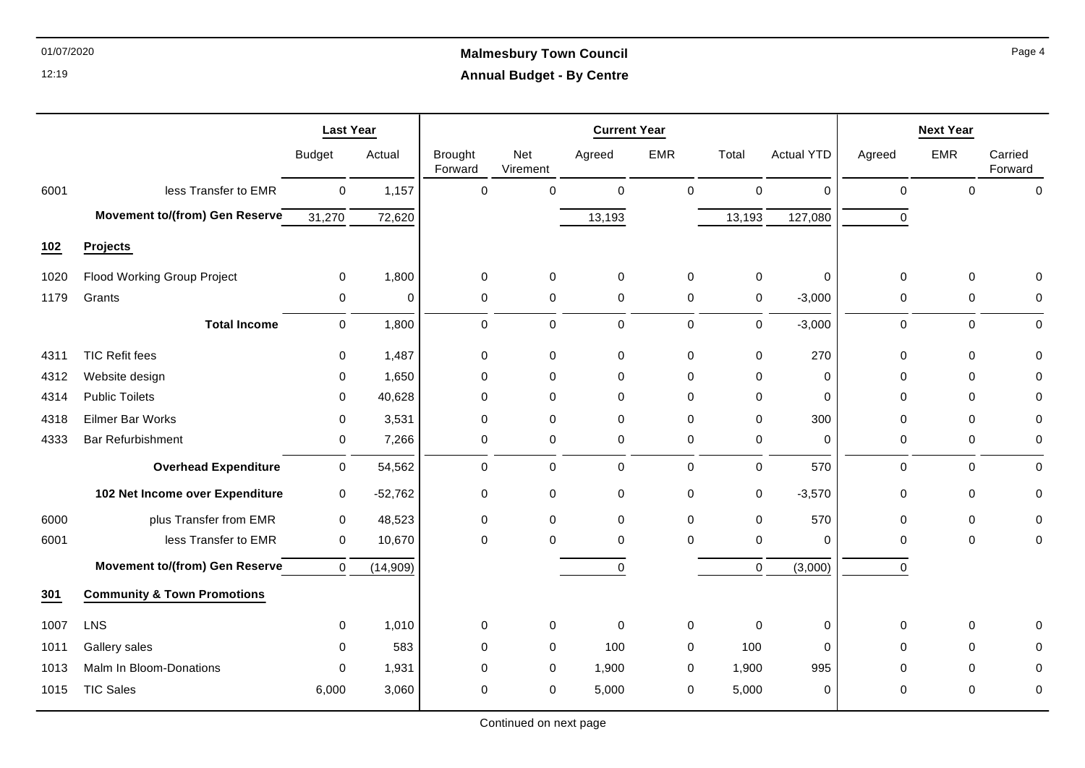# 01/07/2020 **Malmesbury Town Council Annual Budget - By Centre**

|      |                                        | <b>Last Year</b> |           |                           |                 | <b>Current Year</b> |             |             |                   |             | <b>Next Year</b> |                    |
|------|----------------------------------------|------------------|-----------|---------------------------|-----------------|---------------------|-------------|-------------|-------------------|-------------|------------------|--------------------|
|      |                                        | <b>Budget</b>    | Actual    | <b>Brought</b><br>Forward | Net<br>Virement | Agreed              | <b>EMR</b>  | Total       | <b>Actual YTD</b> | Agreed      | <b>EMR</b>       | Carried<br>Forward |
| 6001 | less Transfer to EMR                   | $\mathbf 0$      | 1,157     | $\mathbf 0$               | $\Omega$        | $\mathbf 0$         | $\mathbf 0$ | $\mathbf 0$ | $\Omega$          | $\mathbf 0$ | $\Omega$         | $\Omega$           |
|      | Movement to/(from) Gen Reserve         | 31,270           | 72,620    |                           |                 | 13,193              |             | 13,193      | 127,080           | $\mathbf 0$ |                  |                    |
| 102  | Projects                               |                  |           |                           |                 |                     |             |             |                   |             |                  |                    |
| 1020 | <b>Flood Working Group Project</b>     | $\mathbf 0$      | 1,800     | $\mathbf 0$               | $\pmb{0}$       | $\mathbf 0$         | $\mathbf 0$ | $\mathbf 0$ | 0                 | 0           | $\mathbf 0$      | $\mathbf{0}$       |
| 1179 | Grants                                 | $\mathbf 0$      | $\Omega$  | $\mathbf 0$               | $\mathbf 0$     | $\mathbf 0$         | $\mathbf 0$ | $\mathbf 0$ | $-3,000$          | $\mathbf 0$ | $\mathbf 0$      | $\mathbf 0$        |
|      | <b>Total Income</b>                    | $\mathbf 0$      | 1,800     | $\mathbf 0$               | 0               | $\pmb{0}$           | $\mathbf 0$ | $\mathbf 0$ | $-3,000$          | $\mathbf 0$ | $\mathbf 0$      | $\mathbf 0$        |
| 4311 | <b>TIC Refit fees</b>                  | $\Omega$         | 1,487     | $\mathbf 0$               | 0               | $\mathbf 0$         | $\mathbf 0$ | 0           | 270               | $\mathbf 0$ | $\Omega$         | $\Omega$           |
| 4312 | Website design                         | 0                | 1,650     | $\mathbf 0$               | $\mathbf 0$     | $\mathbf 0$         | $\mathbf 0$ | $\mathbf 0$ | $\mathbf 0$       | $\mathbf 0$ | $\Omega$         | $\mathbf{0}$       |
| 4314 | <b>Public Toilets</b>                  | $\Omega$         | 40,628    | $\mathbf 0$               | $\mathbf 0$     | $\mathbf 0$         | $\mathbf 0$ | $\mathbf 0$ | $\Omega$          | $\Omega$    | $\Omega$         | $\mathbf{0}$       |
| 4318 | Eilmer Bar Works                       | $\mathbf 0$      | 3,531     | $\mathbf 0$               | $\mathbf 0$     | $\mathbf 0$         | $\mathbf 0$ | $\mathbf 0$ | 300               | $\mathbf 0$ | $\Omega$         | $\mathbf{0}$       |
| 4333 | <b>Bar Refurbishment</b>               | 0                | 7,266     | 0                         | 0               | $\mathbf 0$         | $\mathbf 0$ | 0           | $\mathbf 0$       | 0           | $\mathbf 0$      | 0                  |
|      | <b>Overhead Expenditure</b>            | 0                | 54,562    | $\Omega$                  | 0               | $\Omega$            | 0           | 0           | 570               | $\Omega$    | $\Omega$         | $\Omega$           |
|      | 102 Net Income over Expenditure        | 0                | $-52,762$ | $\mathbf 0$               | $\pmb{0}$       | $\mathbf 0$         | $\mathbf 0$ | $\mathbf 0$ | $-3,570$          | 0           | $\mathbf 0$      | $\mathbf 0$        |
| 6000 | plus Transfer from EMR                 | $\mathbf 0$      | 48,523    | $\mathbf 0$               | $\mathbf 0$     | $\mathbf 0$         | $\mathbf 0$ | $\mathbf 0$ | 570               | $\mathbf 0$ | $\mathbf 0$      | $\mathbf 0$        |
| 6001 | less Transfer to EMR                   | $\mathbf 0$      | 10,670    | $\Omega$                  | $\Omega$        | $\mathbf 0$         | $\Omega$    | $\mathbf 0$ | $\mathbf 0$       | $\Omega$    | $\Omega$         | $\mathbf 0$        |
|      | <b>Movement to/(from) Gen Reserve</b>  | $\mathbf 0$      | (14, 909) |                           |                 | $\mathbf 0$         |             | $\mathbf 0$ | (3,000)           | $\Omega$    |                  |                    |
| 301  | <b>Community &amp; Town Promotions</b> |                  |           |                           |                 |                     |             |             |                   |             |                  |                    |
| 1007 | LNS                                    | $\mathbf 0$      | 1,010     | 0                         | 0               | $\mathbf 0$         | $\mathbf 0$ | $\mathbf 0$ | 0                 | 0           | 0                | $\mathbf 0$        |
| 1011 | Gallery sales                          | $\mathbf 0$      | 583       | 0                         | 0               | 100                 | 0           | 100         | $\mathbf 0$       | $\Omega$    | $\Omega$         | $\mathbf{0}$       |
| 1013 | Malm In Bloom-Donations                | $\mathbf 0$      | 1,931     | 0                         | 0               | 1,900               | 0           | 1,900       | 995               | 0           | $\mathbf 0$      | 0                  |
| 1015 | <b>TIC Sales</b>                       | 6,000            | 3,060     | 0                         | 0               | 5,000               | 0           | 5,000       | 0                 | 0           | 0                | 0                  |

Page 4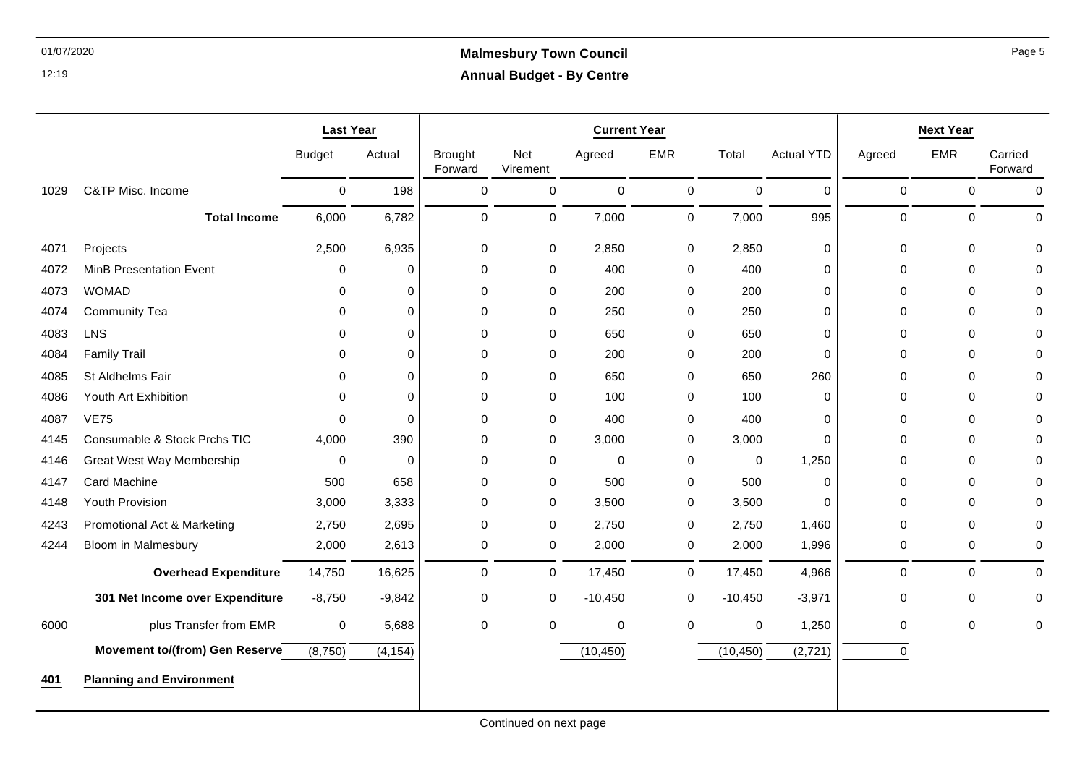|      |                                  | <b>Last Year</b> |             |                           |                 | <b>Current Year</b> |             |           |                   |             | <b>Next Year</b>    |                    |
|------|----------------------------------|------------------|-------------|---------------------------|-----------------|---------------------|-------------|-----------|-------------------|-------------|---------------------|--------------------|
|      |                                  | <b>Budget</b>    | Actual      | <b>Brought</b><br>Forward | Net<br>Virement | Agreed              | <b>EMR</b>  | Total     | <b>Actual YTD</b> | Agreed      | <b>EMR</b>          | Carried<br>Forward |
| 1029 | C&TP Misc. Income                | $\mathbf 0$      | 198         | $\pmb{0}$                 | $\mathbf 0$     | $\mathbf 0$         | $\mathbf 0$ | $\pmb{0}$ | $\mathbf 0$       | $\pmb{0}$   | $\mathsf{O}\xspace$ | $\pmb{0}$          |
|      | <b>Total Income</b>              | 6,000            | 6,782       | $\mathbf 0$               | $\mathbf 0$     | 7,000               | $\mathbf 0$ | 7,000     | 995               | $\mathbf 0$ | $\mathbf 0$         | $\mathbf 0$        |
| 4071 | Projects                         | 2,500            | 6,935       | 0                         | 0               | 2,850               | 0           | 2,850     | 0                 | $\mathbf 0$ | $\mathbf 0$         | $\Omega$           |
| 4072 | <b>MinB Presentation Event</b>   | 0                | 0           | 0                         | 0               | 400                 | 0           | 400       | 0                 | $\mathbf 0$ | $\mathbf 0$         | $\Omega$           |
| 4073 | <b>WOMAD</b>                     | $\Omega$         | $\mathbf 0$ | 0                         | 0               | 200                 | 0           | 200       | 0                 | $\mathbf 0$ | $\mathbf 0$         | $\Omega$           |
| 4074 | <b>Community Tea</b>             | $\Omega$         | $\mathbf 0$ | 0                         | 0               | 250                 | 0           | 250       | 0                 | 0           | 0                   | $\Omega$           |
| 4083 | LNS                              | $\Omega$         | $\mathbf 0$ | 0                         | 0               | 650                 | 0           | 650       | 0                 | $\mathbf 0$ | $\mathbf 0$         | $\Omega$           |
| 4084 | <b>Family Trail</b>              | $\Omega$         | $\Omega$    | $\Omega$                  | 0               | 200                 | 0           | 200       | $\Omega$          | $\Omega$    | $\Omega$            | $\Omega$           |
| 4085 | St Aldhelms Fair                 | $\Omega$         | $\mathbf 0$ | $\Omega$                  | 0               | 650                 | 0           | 650       | 260               | $\mathbf 0$ | $\mathbf 0$         | $\Omega$           |
| 4086 | Youth Art Exhibition             | $\Omega$         | $\mathbf 0$ | $\mathbf 0$               | 0               | 100                 | 0           | 100       | $\mathbf 0$       | $\mathbf 0$ | $\mathbf 0$         | $\Omega$           |
| 4087 | <b>VE75</b>                      | $\Omega$         | $\Omega$    | $\Omega$                  | 0               | 400                 | 0           | 400       | $\mathbf 0$       | $\mathbf 0$ | 0                   | $\Omega$           |
| 4145 | Consumable & Stock Prchs TIC     | 4,000            | 390         | $\mathbf 0$               | 0               | 3,000               | 0           | 3,000     | $\mathbf 0$       | $\mathbf 0$ | $\mathbf 0$         | $\Omega$           |
| 4146 | <b>Great West Way Membership</b> | 0                | $\mathbf 0$ | 0                         | 0               | 0                   | 0           | 0         | 1,250             | 0           | $\mathbf 0$         | 0                  |
| 4147 | Card Machine                     | 500              | 658         | 0                         | 0               | 500                 | 0           | 500       | 0                 | 0           | $\mathbf 0$         | 0                  |
| 4148 | Youth Provision                  | 3,000            | 3,333       | 0                         | 0               | 3,500               | 0           | 3,500     | $\Omega$          | $\mathbf 0$ | $\Omega$            | $\Omega$           |
| 4243 | Promotional Act & Marketing      | 2,750            | 2,695       | 0                         | 0               | 2,750               | 0           | 2,750     | 1,460             | 0           | $\mathbf 0$         | 0                  |
| 4244 | <b>Bloom in Malmesbury</b>       | 2,000            | 2,613       | $\pmb{0}$                 | 0               | 2,000               | 0           | 2,000     | 1,996             | $\pmb{0}$   | $\mathbf 0$         | $\pmb{0}$          |
|      | <b>Overhead Expenditure</b>      | 14,750           | 16,625      | $\mathbf 0$               | 0               | 17,450              | $\mathbf 0$ | 17,450    | 4,966             | $\mathbf 0$ | $\mathbf 0$         | $\Omega$           |
|      | 301 Net Income over Expenditure  | $-8,750$         | $-9,842$    | 0                         | 0               | $-10,450$           | 0           | $-10,450$ | $-3,971$          | 0           | 0                   | 0                  |
| 6000 | plus Transfer from EMR           | 0                | 5,688       | $\pmb{0}$                 | $\mathbf 0$     | 0                   | 0           | 0         | 1,250             | $\pmb{0}$   | $\mathsf{O}\xspace$ | $\mathbf 0$        |
|      | Movement to/(from) Gen Reserve   | (8,750)          | (4, 154)    |                           |                 | (10, 450)           |             | (10, 450) | (2, 721)          | $\mathbf 0$ |                     |                    |
| 401  | <b>Planning and Environment</b>  |                  |             |                           |                 |                     |             |           |                   |             |                     |                    |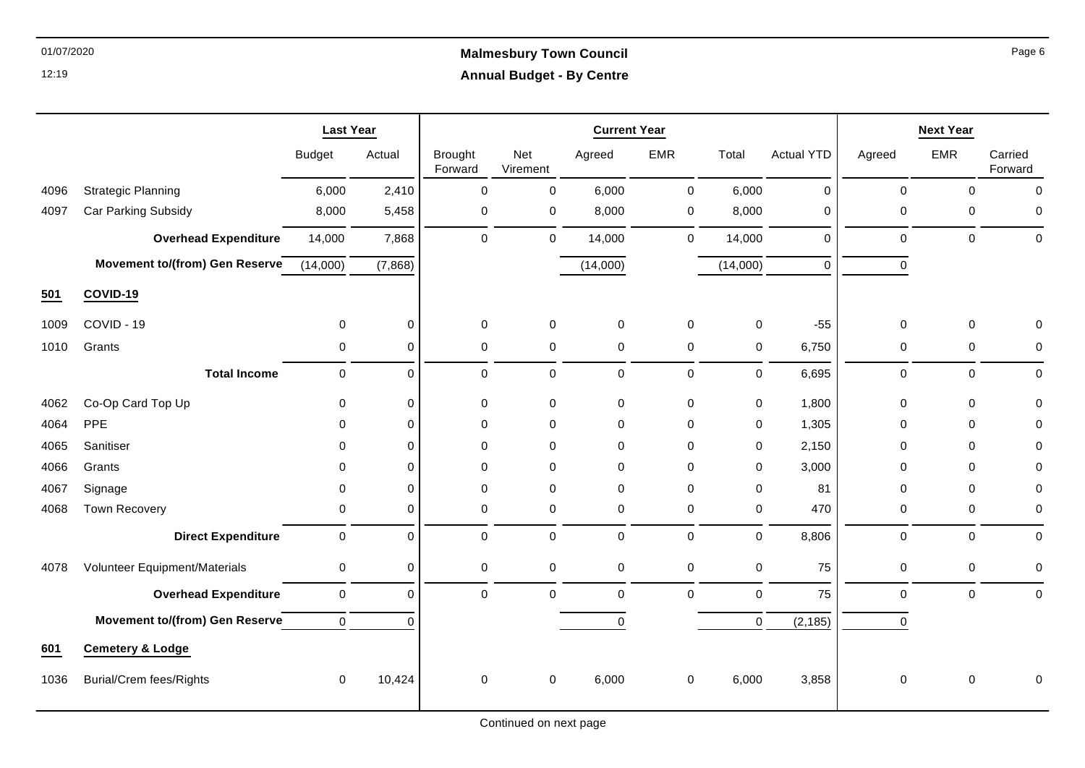# 01/07/2020 **Malmesbury Town Council Annual Budget - By Centre**

|      |                                       | <b>Last Year</b> |             | <b>Current Year</b>       |                 |                     |             |             |                   | <b>Next Year</b>    |                |                    |
|------|---------------------------------------|------------------|-------------|---------------------------|-----------------|---------------------|-------------|-------------|-------------------|---------------------|----------------|--------------------|
|      |                                       | <b>Budget</b>    | Actual      | <b>Brought</b><br>Forward | Net<br>Virement | Agreed              | <b>EMR</b>  | Total       | <b>Actual YTD</b> | Agreed              | <b>EMR</b>     | Carried<br>Forward |
| 4096 | <b>Strategic Planning</b>             | 6,000            | 2,410       | $\mathbf 0$               | 0               | 6,000               | $\pmb{0}$   | 6,000       | $\mathbf 0$       | $\mathbf 0$         | $\mathbf 0$    | $\mathbf 0$        |
| 4097 | Car Parking Subsidy                   | 8,000            | 5,458       | $\mathbf 0$               | $\pmb{0}$       | 8,000               | $\pmb{0}$   | 8,000       | $\mathbf 0$       | $\mathbf 0$         | 0              | $\mathbf 0$        |
|      | <b>Overhead Expenditure</b>           | 14,000           | 7,868       | $\mathbf 0$               | $\mathbf 0$     | 14,000              | $\mathbf 0$ | 14,000      | $\Omega$          | $\mathbf 0$         | $\mathbf 0$    | $\mathbf 0$        |
|      | <b>Movement to/(from) Gen Reserve</b> | (14,000)         | (7,868)     |                           |                 | (14,000)            |             | (14,000)    | $\Omega$          | 0                   |                |                    |
| 501  | COVID-19                              |                  |             |                           |                 |                     |             |             |                   |                     |                |                    |
| 1009 | COVID - 19                            | $\mathbf 0$      | $\mathbf 0$ | $\mathbf 0$               | $\mathbf 0$     | $\mathbf 0$         | $\mathbf 0$ | 0           | $-55$             | $\mathbf 0$         | $\Omega$       | $\mathbf 0$        |
| 1010 | Grants                                | 0                | $\mathbf 0$ | $\mathbf 0$               | $\mathbf 0$     | $\mathbf 0$         | $\pmb{0}$   | $\mathbf 0$ | 6,750             | $\mathbf 0$         | $\mathbf 0$    | $\mathbf 0$        |
|      | <b>Total Income</b>                   | $\mathbf 0$      | $\Omega$    | $\Omega$                  | $\mathbf 0$     | $\mathbf 0$         | $\mathbf 0$ | $\mathbf 0$ | 6,695             | $\mathbf 0$         | $\Omega$       | $\mathbf 0$        |
| 4062 | Co-Op Card Top Up                     | 0                | $\mathbf 0$ | $\mathbf 0$               | $\mathbf 0$     | $\mathbf 0$         | 0           | $\mathbf 0$ | 1,800             | $\mathbf 0$         | 0              | $\mathbf 0$        |
| 4064 | PPE                                   | 0                | $\Omega$    | $\Omega$                  | 0               | 0                   | 0           | 0           | 1,305             | $\mathbf{0}$        | $\Omega$       | $\mathbf{0}$       |
| 4065 | Sanitiser                             | $\Omega$         | $\Omega$    | $\Omega$                  | $\Omega$        | $\mathbf 0$         | 0           | $\mathbf 0$ | 2,150             | $\mathbf{0}$        | 0              | $\mathbf{0}$       |
| 4066 | Grants                                | $\mathbf 0$      | $\Omega$    | $\Omega$                  | $\mathbf 0$     | $\mathbf 0$         | $\mathbf 0$ | $\mathbf 0$ | 3,000             | $\Omega$            | 0              | $\mathbf{0}$       |
| 4067 | Signage                               | 0                | $\mathbf 0$ | $\Omega$                  | $\pmb{0}$       | $\mathbf 0$         | 0           | $\pmb{0}$   | 81                | $\mathbf 0$         | $\mathbf 0$    | $\mathbf 0$        |
| 4068 | <b>Town Recovery</b>                  | 0                | $\mathbf 0$ | $\Omega$                  | $\mathbf 0$     | $\mathbf 0$         | 0           | $\mathbf 0$ | 470               | $\mathbf 0$         | $\mathbf 0$    | $\mathbf 0$        |
|      | <b>Direct Expenditure</b>             | $\mathsf 0$      | $\mathbf 0$ | $\Omega$                  | $\mathbf 0$     | $\mathbf 0$         | $\pmb{0}$   | $\mathbf 0$ | 8,806             | $\mathbf 0$         | $\mathbf 0$    | $\mathbf 0$        |
| 4078 | Volunteer Equipment/Materials         | $\mathsf 0$      | $\pmb{0}$   | 0                         | $\mathbf 0$     | $\mathsf{O}\xspace$ | $\pmb{0}$   | $\pmb{0}$   | 75                | $\mathsf{O}\xspace$ | 0              | $\pmb{0}$          |
|      | <b>Overhead Expenditure</b>           | $\mathbf 0$      | $\mathbf 0$ | $\Omega$                  | $\Omega$        | $\Omega$            | $\Omega$    | $\mathbf 0$ | 75                | $\Omega$            | $\overline{0}$ | $\mathbf 0$        |
|      | <b>Movement to/(from) Gen Reserve</b> | $\mathbf 0$      | $\Omega$    |                           |                 | 0                   |             | 0           | (2, 185)          | $\mathbf 0$         |                |                    |
| 601  | <b>Cemetery &amp; Lodge</b>           |                  |             |                           |                 |                     |             |             |                   |                     |                |                    |
| 1036 | <b>Burial/Crem fees/Rights</b>        | $\mathbf 0$      | 10,424      | $\Omega$                  | $\mathbf 0$     | 6,000               | $\mathbf 0$ | 6,000       | 3,858             | $\mathbf 0$         | $\mathbf 0$    | $\mathbf 0$        |

Page 6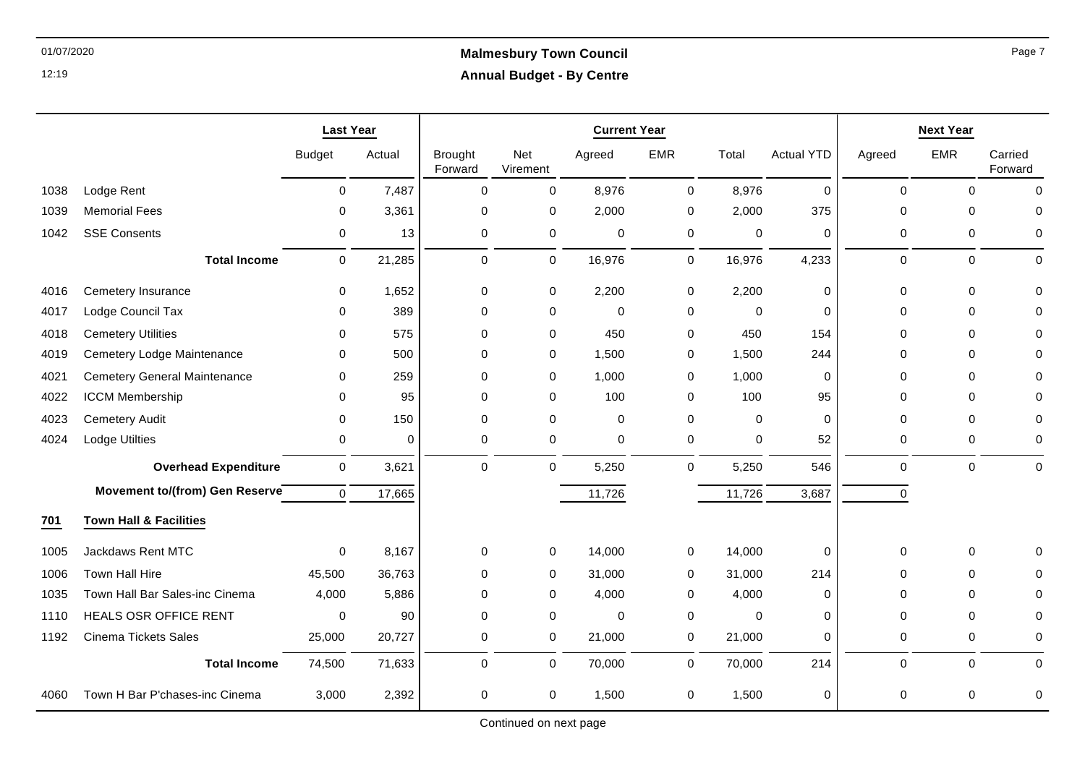|      |                                     | <b>Last Year</b> |             |                           |                 | <b>Current Year</b> |             |             |                   |             | <b>Next Year</b> |                    |
|------|-------------------------------------|------------------|-------------|---------------------------|-----------------|---------------------|-------------|-------------|-------------------|-------------|------------------|--------------------|
|      |                                     | <b>Budget</b>    | Actual      | <b>Brought</b><br>Forward | Net<br>Virement | Agreed              | <b>EMR</b>  | Total       | <b>Actual YTD</b> | Agreed      | <b>EMR</b>       | Carried<br>Forward |
| 1038 | Lodge Rent                          | 0                | 7,487       | $\mathbf 0$               | 0               | 8,976               | 0           | 8,976       | $\mathbf 0$       | $\mathbf 0$ | $\mathbf 0$      | $\Omega$           |
| 1039 | <b>Memorial Fees</b>                | $\mathbf 0$      | 3,361       | $\Omega$                  | $\mathbf 0$     | 2,000               | 0           | 2,000       | 375               | $\Omega$    | $\Omega$         | $\mathbf 0$        |
| 1042 | <b>SSE Consents</b>                 | 0                | 13          | $\mathbf 0$               | 0               | $\mathbf 0$         | $\pmb{0}$   | $\mathbf 0$ | $\mathbf 0$       | $\mathbf 0$ | $\mathbf 0$      | $\mathbf 0$        |
|      | <b>Total Income</b>                 | $\mathbf 0$      | 21,285      | $\Omega$                  | $\mathbf 0$     | 16,976              | $\mathbf 0$ | 16,976      | 4,233             | $\Omega$    | $\Omega$         | $\mathbf{0}$       |
| 4016 | Cemetery Insurance                  | 0                | 1,652       | 0                         | 0               | 2,200               | 0           | 2,200       | $\mathbf 0$       | $\mathbf 0$ | $\mathbf 0$      | $\mathbf{0}$       |
| 4017 | Lodge Council Tax                   | 0                | 389         | $\Omega$                  | $\mathbf 0$     | 0                   | 0           | $\mathbf 0$ | $\Omega$          | $\Omega$    | $\Omega$         | $\Omega$           |
| 4018 | <b>Cemetery Utilities</b>           | $\Omega$         | 575         | $\Omega$                  | $\mathbf 0$     | 450                 | 0           | 450         | 154               | $\Omega$    | $\mathbf 0$      | $\Omega$           |
| 4019 | Cemetery Lodge Maintenance          | $\mathbf 0$      | 500         | $\Omega$                  | $\mathbf 0$     | 1,500               | 0           | 1,500       | 244               | $\Omega$    | $\mathbf 0$      | $\mathbf{0}$       |
| 4021 | <b>Cemetery General Maintenance</b> | $\mathbf 0$      | 259         | 0                         | 0               | 1,000               | 0           | 1,000       | 0                 | $\Omega$    | $\Omega$         | $\mathbf{0}$       |
| 4022 | <b>ICCM Membership</b>              | $\Omega$         | 95          | $\Omega$                  | $\Omega$        | 100                 | 0           | 100         | 95                | $\Omega$    | $\Omega$         | $\Omega$           |
| 4023 | <b>Cemetery Audit</b>               | $\mathbf 0$      | 150         | $\Omega$                  | $\mathbf 0$     | $\mathbf 0$         | $\pmb{0}$   | $\mathbf 0$ | $\mathbf 0$       | $\Omega$    | $\Omega$         | $\mathbf{0}$       |
| 4024 | Lodge Utilties                      | 0                | $\mathbf 0$ | 0                         | $\mathbf 0$     | $\mathbf 0$         | 0           | $\mathbf 0$ | 52                | 0           | 0                | $\mathbf 0$        |
|      | <b>Overhead Expenditure</b>         | 0                | 3,621       | $\Omega$                  | $\mathbf 0$     | 5,250               | $\mathbf 0$ | 5,250       | 546               | $\Omega$    | $\Omega$         | $\mathbf 0$        |
|      | Movement to/(from) Gen Reserve      | $\mathbf 0$      | 17,665      |                           |                 | 11,726              |             | 11,726      | 3,687             | $\mathbf 0$ |                  |                    |
| 701  | <b>Town Hall &amp; Facilities</b>   |                  |             |                           |                 |                     |             |             |                   |             |                  |                    |
| 1005 | Jackdaws Rent MTC                   | $\mathbf 0$      | 8,167       | $\mathbf 0$               | $\mathbf 0$     | 14,000              | 0           | 14,000      | $\mathbf 0$       | $\mathbf 0$ | 0                | $\mathbf 0$        |
| 1006 | Town Hall Hire                      | 45,500           | 36,763      | 0                         | 0               | 31,000              | 0           | 31,000      | 214               | $\Omega$    | $\mathbf 0$      | $\Omega$           |
| 1035 | Town Hall Bar Sales-inc Cinema      | 4.000            | 5,886       | $\Omega$                  | $\Omega$        | 4,000               | 0           | 4,000       | $\Omega$          | $\Omega$    | $\Omega$         | $\Omega$           |
| 1110 | <b>HEALS OSR OFFICE RENT</b>        | $\pmb{0}$        | 90          | $\Omega$                  | $\mathbf 0$     | $\mathbf 0$         | 0           | $\mathbf 0$ | $\Omega$          | $\Omega$    | $\Omega$         | $\mathbf 0$        |
| 1192 | <b>Cinema Tickets Sales</b>         | 25,000           | 20,727      | $\Omega$                  | 0               | 21,000              | 0           | 21,000      | $\Omega$          | 0           | 0                | 0                  |
|      | <b>Total Income</b>                 | 74,500           | 71,633      | $\Omega$                  | $\mathbf 0$     | 70,000              | 0           | 70,000      | 214               | $\Omega$    | $\Omega$         | $\mathbf{0}$       |
| 4060 | Town H Bar P'chases-inc Cinema      | 3,000            | 2,392       | $\Omega$                  | $\Omega$        | 1,500               | 0           | 1,500       | $\mathbf 0$       | $\Omega$    | $\Omega$         | $\mathbf 0$        |